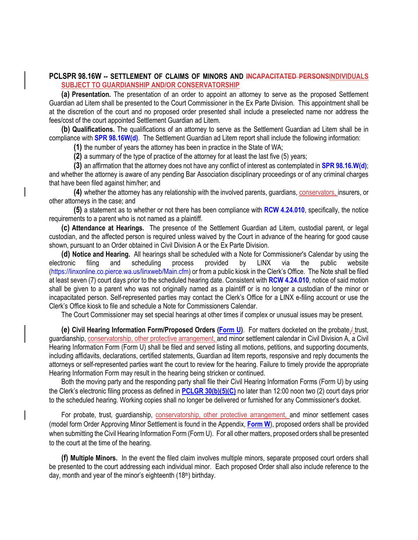## **PCLSPR 98.16W -- SETTLEMENT OF CLAIMS OF MINORS AND INCAPACITATED PERSONSINDIVIDUALS SUBJECT TO GUARDIANSHIP AND/OR CONSERVATORSHIP**

**(a) Presentation.** The presentation of an order to appoint an attorney to serve as the proposed Settlement Guardian ad Litem shall be presented to the Court Commissioner in the Ex Parte Division. This appointment shall be at the discretion of the court and no proposed order presented shall include a preselected name nor address the fees/cost of the court appointed Settlement Guardian ad Litem.

**(b) Qualifications.** The qualifications of an attorney to serve as the Settlement Guardian ad Litem shall be in compliance with **SPR 98.16W(d)**. The Settlement Guardian ad Litem report shall include the following information:

**(1)** the number of years the attorney has been in practice in the State of WA;

**(2)** a summary of the type of practice of the attorney for at least the last five (5) years;

**(3)** an affirmation that the attorney does not have any conflict of interest as contemplated in **SPR 98.16.W(d)**; and whether the attorney is aware of any pending Bar Association disciplinary proceedings or of any criminal charges that have been filed against him/her; and

**(4)** whether the attorney has any relationship with the involved parents, guardians, conservators, insurers, or other attorneys in the case; and

**(5)** a statement as to whether or not there has been compliance with **RCW 4.24.010**, specifically, the notice requirements to a parent who is not named as a plaintiff.

**(c) Attendance at Hearings.** The presence of the Settlement Guardian ad Litem, custodial parent, or legal custodian, and the affected person is required unless waived by the Court in advance of the hearing for good cause shown, pursuant to an Order obtained in Civil Division A or the Ex Parte Division.

**(d) Notice and Hearing.** All hearings shall be scheduled with a Note for Commissioner's Calendar by using the electronic filing and scheduling process provided by LINX via the public website (https://linxonline.co.pierce.wa.us/linxweb/Main.cfm) or from a public kiosk in the Clerk's Office. The Note shall be filed at least seven (7) court days prior to the scheduled hearing date. Consistent with **RCW 4.24.010**, notice of said motion shall be given to a parent who was not originally named as a plaintiff or is no longer a custodian of the minor or incapacitated person. Self-represented parties may contact the Clerk's Office for a LINX e-filing account or use the Clerk's Office kiosk to file and schedule a Note for Commissioners Calendar.

The Court Commissioner may set special hearings at other times if complex or unusual issues may be present.

**(e)** Civil Hearing Information Form/Proposed Orders (Form U). For matters docketed on the probate, trust, guardianship, conservatorship, other protective arrangement, and minor settlement calendar in Civil Division A, a Civil Hearing Information Form (Form U) shall be filed and served listing all motions, petitions, and supporting documents, including affidavits, declarations, certified statements, Guardian ad litem reports, responsive and reply documents the attorneys or self-represented parties want the court to review for the hearing. Failure to timely provide the appropriate Hearing Information Form may result in the hearing being stricken or continued.

Both the moving party and the responding party shall file their Civil Hearing Information Forms (Form U) by using the Clerk's electronic filing process as defined in **PCLGR 30(b)(5)(C)** no later than 12:00 noon two (2) court days prior to the scheduled hearing. Working copies shall no longer be delivered or furnished for any Commissioner's docket.

For probate, trust, guardianship, conservatorship, other protective arrangement, and minor settlement cases (model form Order Approving Minor Settlement is found in the Appendix, **Form W**), proposed orders shall be provided when submitting the Civil Hearing Information Form (Form U). For all other matters, proposed orders shall be presented to the court at the time of the hearing.

**(f) Multiple Minors.** In the event the filed claim involves multiple minors, separate proposed court orders shall be presented to the court addressing each individual minor. Each proposed Order shall also include reference to the day, month and year of the minor's eighteenth (18th) birthday.